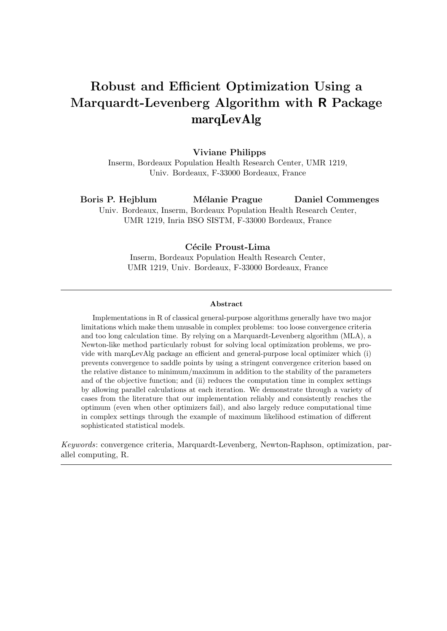# Robust and Efficient Optimization Using a Marquardt-Levenberg Algorithm with R Package marqLevAlg

#### Viviane Philipps

Inserm, Bordeaux Population Health Research Center, UMR 1219, Univ. Bordeaux, F-33000 Bordeaux, France

Boris P. Hejblum Mélanie Prague Univ. Bordeaux, Inserm, Bordeaux Population Health Research Center, Daniel Commenges

UMR 1219, Inria BSO SISTM, F-33000 Bordeaux, France

### Cécile Proust-Lima

Inserm, Bordeaux Population Health Research Center, UMR 1219, Univ. Bordeaux, F-33000 Bordeaux, France

#### Abstract

Implementations in R of classical general-purpose algorithms generally have two major limitations which make them unusable in complex problems: too loose convergence criteria and too long calculation time. By relying on a Marquardt-Levenberg algorithm (MLA), a Newton-like method particularly robust for solving local optimization problems, we provide with marqLevAlg package an efficient and general-purpose local optimizer which (i) prevents convergence to saddle points by using a stringent convergence criterion based on the relative distance to minimum/maximum in addition to the stability of the parameters and of the objective function; and (ii) reduces the computation time in complex settings by allowing parallel calculations at each iteration. We demonstrate through a variety of cases from the literature that our implementation reliably and consistently reaches the optimum (even when other optimizers fail), and also largely reduce computational time in complex settings through the example of maximum likelihood estimation of different sophisticated statistical models.

Keywords: convergence criteria, Marquardt-Levenberg, Newton-Raphson, optimization, parallel computing, R.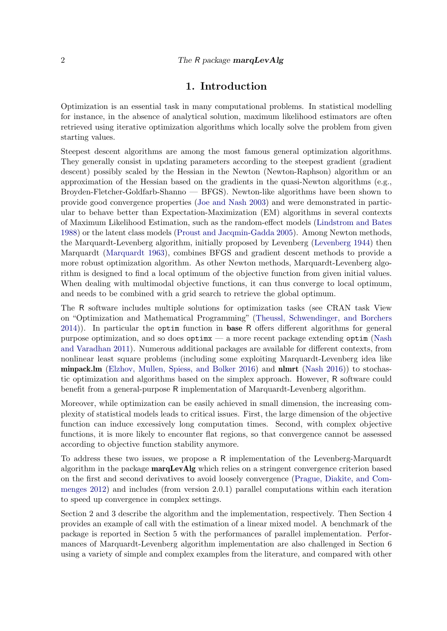# 1. Introduction

Optimization is an essential task in many computational problems. In statistical modelling for instance, in the absence of analytical solution, maximum likelihood estimators are often retrieved using iterative optimization algorithms which locally solve the problem from given starting values.

Steepest descent algorithms are among the most famous general optimization algorithms. They generally consist in updating parameters according to the steepest gradient (gradient descent) possibly scaled by the Hessian in the Newton (Newton-Raphson) algorithm or an approximation of the Hessian based on the gradients in the quasi-Newton algorithms (e.g., Broyden-Fletcher-Goldfarb-Shanno — BFGS). Newton-like algorithms have been shown to provide good convergence properties [\(Joe and Nash](#page-20-0) [2003\)](#page-20-0) and were demonstrated in particular to behave better than Expectation-Maximization (EM) algorithms in several contexts of Maximum Likelihood Estimation, such as the random-effect models [\(Lindstrom and Bates](#page-20-1) [1988\)](#page-20-1) or the latent class models [\(Proust and Jacqmin-Gadda](#page-21-0) [2005\)](#page-21-0). Among Newton methods, the Marquardt-Levenberg algorithm, initially proposed by Levenberg [\(Levenberg](#page-20-2) [1944\)](#page-20-2) then Marquardt [\(Marquardt](#page-20-3) [1963\)](#page-20-3), combines BFGS and gradient descent methods to provide a more robust optimization algorithm. As other Newton methods, Marquardt-Levenberg algorithm is designed to find a local optimum of the objective function from given initial values. When dealing with multimodal objective functions, it can thus converge to local optimum, and needs to be combined with a grid search to retrieve the global optimum.

The R software includes multiple solutions for optimization tasks (see CRAN task View on "Optimization and Mathematical Programming" [\(Theussl, Schwendinger, and Borchers](#page-22-0) [2014\)](#page-22-0)). In particular the optim function in base R offers different algorithms for general purpose optimization, and so does optimx — a more recent package extending optim [\(Nash](#page-21-1) [and Varadhan](#page-21-1) [2011\)](#page-21-1). Numerous additional packages are available for different contexts, from nonlinear least square problems (including some exploiting Marquardt-Levenberg idea like minpack.lm [\(Elzhov, Mullen, Spiess, and Bolker](#page-19-0) [2016\)](#page-19-0) and nlmrt [\(Nash](#page-21-2) [2016\)](#page-21-2)) to stochastic optimization and algorithms based on the simplex approach. However, R software could benefit from a general-purpose R implementation of Marquardt-Levenberg algorithm.

Moreover, while optimization can be easily achieved in small dimension, the increasing complexity of statistical models leads to critical issues. First, the large dimension of the objective function can induce excessively long computation times. Second, with complex objective functions, it is more likely to encounter flat regions, so that convergence cannot be assessed according to objective function stability anymore.

To address these two issues, we propose a R implementation of the Levenberg-Marquardt algorithm in the package marqLevAlg which relies on a stringent convergence criterion based on the first and second derivatives to avoid loosely convergence [\(Prague, Diakite, and Com](#page-21-3)[menges](#page-21-3) [2012\)](#page-21-3) and includes (from version 2.0.1) parallel computations within each iteration to speed up convergence in complex settings.

Section 2 and 3 describe the algorithm and the implementation, respectively. Then Section 4 provides an example of call with the estimation of a linear mixed model. A benchmark of the package is reported in Section 5 with the performances of parallel implementation. Performances of Marquardt-Levenberg algorithm implementation are also challenged in Section 6 using a variety of simple and complex examples from the literature, and compared with other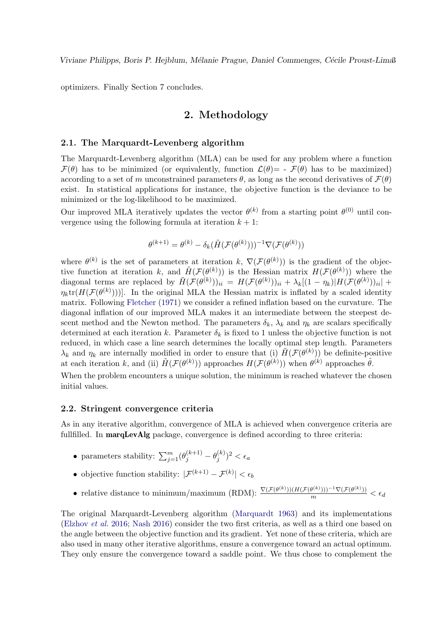optimizers. Finally Section 7 concludes.

# 2. Methodology

#### 2.1. The Marquardt-Levenberg algorithm

The Marquardt-Levenberg algorithm (MLA) can be used for any problem where a function  $\mathcal{F}(\theta)$  has to be minimized (or equivalently, function  $\mathcal{L}(\theta) = -\mathcal{F}(\theta)$  has to be maximized) according to a set of m unconstrained parameters  $\theta$ , as long as the second derivatives of  $\mathcal{F}(\theta)$ exist. In statistical applications for instance, the objective function is the deviance to be minimized or the log-likelihood to be maximized.

Our improved MLA iteratively updates the vector  $\theta^{(k)}$  from a starting point  $\theta^{(0)}$  until convergence using the following formula at iteration  $k + 1$ :

$$
\theta^{(k+1)} = \theta^{(k)} - \delta_k(\tilde{H}(\mathcal{F}(\theta^{(k)})))^{-1} \nabla(\mathcal{F}(\theta^{(k)}))
$$

where  $\theta^{(k)}$  is the set of parameters at iteration k,  $\nabla(\mathcal{F}(\theta^{(k)}))$  is the gradient of the objective function at iteration k, and  $\tilde{H}(\mathcal{F}(\theta^{(k)}))$  is the Hessian matrix  $H(\mathcal{F}(\theta^{(k)}))$  where the diagonal terms are replaced by  $\widetilde{H}(\mathcal{F}(\theta^{(k)}))_{ii} = H(\mathcal{F}(\theta^{(k)}))_{ii} + \lambda_k[(1 - \eta_k)|H(\mathcal{F}(\theta^{(k)}))_{ii}| +$  $\eta_k \text{tr}(H(\mathcal{F}(\theta^{(k)})))$ . In the original MLA the Hessian matrix is inflated by a scaled identity matrix. Following [Fletcher](#page-20-4) [\(1971\)](#page-20-4) we consider a refined inflation based on the curvature. The diagonal inflation of our improved MLA makes it an intermediate between the steepest descent method and the Newton method. The parameters  $\delta_k$ ,  $\lambda_k$  and  $\eta_k$  are scalars specifically determined at each iteration k. Parameter  $\delta_k$  is fixed to 1 unless the objective function is not reduced, in which case a line search determines the locally optimal step length. Parameters  $\lambda_k$  and  $\eta_k$  are internally modified in order to ensure that (i)  $\tilde{H}(\mathcal{F}(\theta^{(k)}))$  be definite-positive at each iteration k, and (ii)  $\tilde{H}(\mathcal{F}(\theta^{(k)}))$  approaches  $H(\mathcal{F}(\theta^{(k)}))$  when  $\theta^{(k)}$  approaches  $\hat{\theta}$ .

When the problem encounters a unique solution, the minimum is reached whatever the chosen initial values.

#### <span id="page-2-0"></span>2.2. Stringent convergence criteria

As in any iterative algorithm, convergence of MLA is achieved when convergence criteria are fullfilled. In **marqLevAlg** package, convergence is defined according to three criteria:

- parameters stability:  $\sum_{j=1}^{m} (\theta_j^{(k+1)} \theta_j^{(k)})$  $\binom{k}{j}^2 < \epsilon_a$
- objective function stability:  $|\mathcal{F}^{(k+1)} \mathcal{F}^{(k)}| < \epsilon_b$
- relative distance to minimum/maximum (RDM):  $\frac{\nabla (\mathcal{F}(\theta^{(k)}))(H(\mathcal{F}(\theta^{(k)})))^{-1}\nabla(\mathcal{F}(\theta^{(k)}))}{m} < \epsilon_d$

The original Marquardt-Levenberg algorithm [\(Marquardt](#page-20-3) [1963\)](#page-20-3) and its implementations [\(Elzhov](#page-19-0) et al. [2016;](#page-19-0) [Nash](#page-21-2) [2016\)](#page-21-2) consider the two first criteria, as well as a third one based on the angle between the objective function and its gradient. Yet none of these criteria, which are also used in many other iterative algorithms, ensure a convergence toward an actual optimum. They only ensure the convergence toward a saddle point. We thus chose to complement the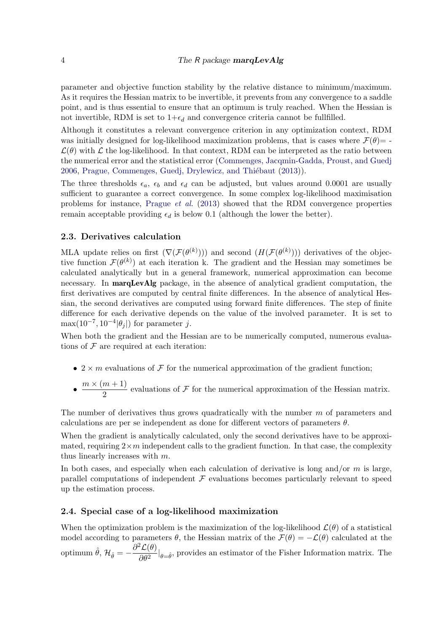parameter and objective function stability by the relative distance to minimum/maximum. As it requires the Hessian matrix to be invertible, it prevents from any convergence to a saddle point, and is thus essential to ensure that an optimum is truly reached. When the Hessian is not invertible, RDM is set to  $1+\epsilon_d$  and convergence criteria cannot be fullfilled.

Although it constitutes a relevant convergence criterion in any optimization context, RDM was initially designed for log-likelihood maximization problems, that is cases where  $\mathcal{F}(\theta)$  =  $\mathcal{L}(\theta)$  with  $\mathcal L$  the log-likelihood. In that context, RDM can be interpreted as the ratio between the numerical error and the statistical error [\(Commenges, Jacqmin-Gadda, Proust, and Guedj](#page-19-1) [2006,](#page-19-1) Prague, Commenges, Guedj, Drylewicz, and Thiébaut [\(2013\)](#page-21-4)).

The three thresholds  $\epsilon_a$ ,  $\epsilon_b$  and  $\epsilon_d$  can be adjusted, but values around 0.0001 are usually sufficient to guarantee a correct convergence. In some complex log-likelihood maximisation problems for instance, [Prague](#page-21-4) *et al.* [\(2013\)](#page-21-4) showed that the RDM convergence properties remain acceptable providing  $\epsilon_d$  is below 0.1 (although the lower the better).

#### 2.3. Derivatives calculation

MLA update relies on first  $(\nabla(\mathcal{F}(\theta^{(k)})))$  and second  $(H(\mathcal{F}(\theta^{(k)})))$  derivatives of the objective function  $\mathcal{F}(\theta^{(k)})$  at each iteration k. The gradient and the Hessian may sometimes be calculated analytically but in a general framework, numerical approximation can become necessary. In **marqLevAlg** package, in the absence of analytical gradient computation, the first derivatives are computed by central finite differences. In the absence of analytical Hessian, the second derivatives are computed using forward finite differences. The step of finite difference for each derivative depends on the value of the involved parameter. It is set to  $\max(10^{-7}, 10^{-4}|\theta_j|)$  for parameter j.

When both the gradient and the Hessian are to be numerically computed, numerous evaluations of  $\mathcal F$  are required at each iteration:

- 2  $\times$  m evaluations of F for the numerical approximation of the gradient function;
- $\bullet \ \frac{m \times (m+1)}{2}$  $\frac{m+1}{2}$  evaluations of F for the numerical approximation of the Hessian matrix.

The number of derivatives thus grows quadratically with the number m of parameters and calculations are per se independent as done for different vectors of parameters  $\theta$ .

When the gradient is analytically calculated, only the second derivatives have to be approximated, requiring  $2\times m$  independent calls to the gradient function. In that case, the complexity thus linearly increases with  $m$ .

In both cases, and especially when each calculation of derivative is long and/or  $m$  is large, parallel computations of independent  $\mathcal F$  evaluations becomes particularly relevant to speed up the estimation process.

### <span id="page-3-0"></span>2.4. Special case of a log-likelihood maximization

When the optimization problem is the maximization of the log-likelihood  $\mathcal{L}(\theta)$  of a statistical model according to parameters  $\theta$ , the Hessian matrix of the  $\mathcal{F}(\theta) = -\mathcal{L}(\theta)$  calculated at the optimum  $\hat{\theta}$ ,  $\mathcal{H}_{\hat{\theta}} = -\frac{\partial^2 \mathcal{L}(\theta)}{\partial \theta^2}$  $\frac{\Sigma(\sigma)}{\partial \theta^2}|_{\theta=\hat{\theta}}$ , provides an estimator of the Fisher Information matrix. The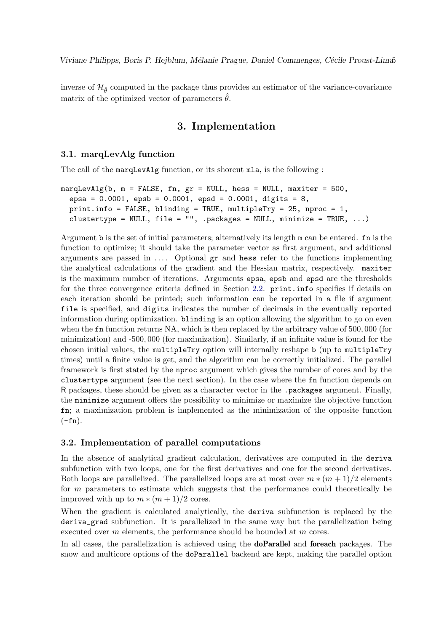inverse of  $\mathcal{H}_{\hat{\theta}}$  computed in the package thus provides an estimator of the variance-covariance matrix of the optimized vector of parameters  $\hat{\theta}$ .

# 3. Implementation

## 3.1. marqLevAlg function

The call of the marqLevAlg function, or its shorcut mla, is the following :

```
margLevAlg(b, m = FALSE, fn, gr = NULL, hess = NULL, maxiter = 500,epsa = 0.0001, epsb = 0.0001, epsd = 0.0001, digits = 8,
  print.info = FALSE, blinding = TRUE, multipleTry = 25, nproc = 1,
  clustertype = NULL, file = ", .packages = NULL, minimize = TRUE, ...)
```
Argument b is the set of initial parameters; alternatively its length m can be entered. fn is the function to optimize; it should take the parameter vector as first argument, and additional arguments are passed in  $\dots$  Optional  $gr$  and hess refer to the functions implementing the analytical calculations of the gradient and the Hessian matrix, respectively. maxiter is the maximum number of iterations. Arguments epsa, epsb and epsd are the thresholds for the three convergence criteria defined in Section [2.2.](#page-2-0) print.info specifies if details on each iteration should be printed; such information can be reported in a file if argument file is specified, and digits indicates the number of decimals in the eventually reported information during optimization. blinding is an option allowing the algorithm to go on even when the fn function returns NA, which is then replaced by the arbitrary value of 500,000 (for minimization) and -500, 000 (for maximization). Similarly, if an infinite value is found for the chosen initial values, the multipleTry option will internally reshape b (up to multipleTry times) until a finite value is get, and the algorithm can be correctly initialized. The parallel framework is first stated by the nproc argument which gives the number of cores and by the clustertype argument (see the next section). In the case where the fn function depends on R packages, these should be given as a character vector in the .packages argument. Finally, the minimize argument offers the possibility to minimize or maximize the objective function fn; a maximization problem is implemented as the minimization of the opposite function  $(-fn).$ 

#### 3.2. Implementation of parallel computations

In the absence of analytical gradient calculation, derivatives are computed in the deriva subfunction with two loops, one for the first derivatives and one for the second derivatives. Both loops are parallelized. The parallelized loops are at most over  $m \times (m + 1)/2$  elements for m parameters to estimate which suggests that the performance could theoretically be improved with up to  $m * (m + 1)/2$  cores.

When the gradient is calculated analytically, the deriva subfunction is replaced by the deriva\_grad subfunction. It is parallelized in the same way but the parallelization being executed over m elements, the performance should be bounded at m cores.

In all cases, the parallelization is achieved using the **doParallel** and **foreach** packages. The snow and multicore options of the doParallel backend are kept, making the parallel option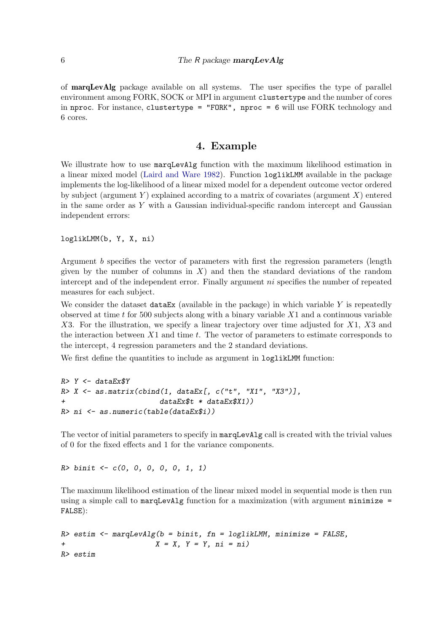of marqLevAlg package available on all systems. The user specifies the type of parallel environment among FORK, SOCK or MPI in argument clustertype and the number of cores in nproc. For instance, clustertype = "FORK", nproc = 6 will use FORK technology and 6 cores.

# 4. Example

<span id="page-5-0"></span>We illustrate how to use marqLevAlg function with the maximum likelihood estimation in a linear mixed model [\(Laird and Ware](#page-20-5) [1982\)](#page-20-5). Function loglikLMM available in the package implements the log-likelihood of a linear mixed model for a dependent outcome vector ordered by subject (argument Y) explained according to a matrix of covariates (argument X) entered in the same order as  $Y$  with a Gaussian individual-specific random intercept and Gaussian independent errors:

```
loglikLMM(b, Y, X, ni)
```
Argument b specifies the vector of parameters with first the regression parameters (length given by the number of columns in  $X$ ) and then the standard deviations of the random intercept and of the independent error. Finally argument *ni* specifies the number of repeated measures for each subject.

We consider the dataset dataEx (available in the package) in which variable  $Y$  is repeatedly observed at time  $t$  for 500 subjects along with a binary variable  $X_1$  and a continuous variable  $X3.$  For the illustration, we specify a linear trajectory over time adjusted for  $X1$ ,  $X3$  and the interaction between  $X1$  and time  $t$ . The vector of parameters to estimate corresponds to the intercept, 4 regression parameters and the 2 standard deviations.

We first define the quantities to include as argument in  $loglikLMM$  function:

```
R > Y < - dataEx$YR > X \leftarrow \text{as.matrix}(\text{cbind}(1, \text{ dataEx}), c("t", "X1", "X3")),
+ dataEx$t * dataEx$X1))
R> ni <- as.numeric(table(dataEx$i))
```
The vector of initial parameters to specify in marqLevAlg call is created with the trivial values of 0 for the fixed effects and 1 for the variance components.

 $R > \text{binit} \leftarrow c(0, 0, 0, 0, 0, 1, 1)$ 

The maximum likelihood estimation of the linear mixed model in sequential mode is then run using a simple call to  $\text{marqLevAlg}$  function for a maximization (with argument  $\text{minimize}$  = FALSE):

```
R> estim \leq marqLevAlg(b = binit, fn = loglikLMM, minimize = FALSE,
+ X = X, Y = Y, ni = ni)
R> estim
```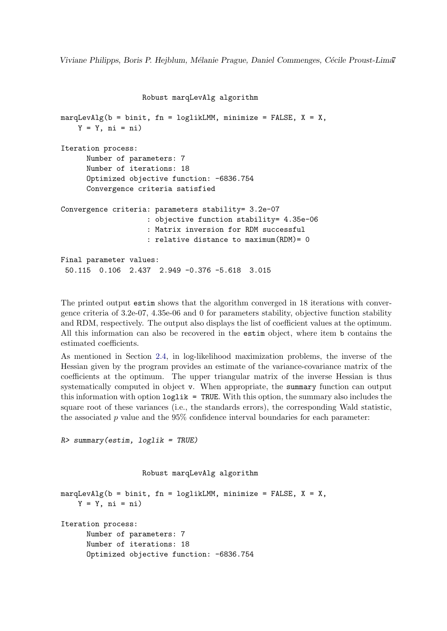```
Robust marqLevAlg algorithm
```

```
marqLevAlg(b = binit, fn = loglikLMM, minimize = FALSE, X = X,Y = Y, ni = ni)
Iteration process:
      Number of parameters: 7
      Number of iterations: 18
      Optimized objective function: -6836.754
      Convergence criteria satisfied
Convergence criteria: parameters stability= 3.2e-07
                    : objective function stability= 4.35e-06
                    : Matrix inversion for RDM successful
                    : relative distance to maximum(RDM)= 0
Final parameter values:
 50.115 0.106 2.437 2.949 -0.376 -5.618 3.015
```
The printed output estim shows that the algorithm converged in 18 iterations with convergence criteria of 3.2e-07, 4.35e-06 and 0 for parameters stability, objective function stability and RDM, respectively. The output also displays the list of coefficient values at the optimum. All this information can also be recovered in the estim object, where item b contains the estimated coefficients.

As mentioned in Section [2.4,](#page-3-0) in log-likelihood maximization problems, the inverse of the Hessian given by the program provides an estimate of the variance-covariance matrix of the coefficients at the optimum. The upper triangular matrix of the inverse Hessian is thus systematically computed in object v. When appropriate, the summary function can output this information with option loglik = TRUE. With this option, the summary also includes the square root of these variances (i.e., the standards errors), the corresponding Wald statistic, the associated p value and the  $95\%$  confidence interval boundaries for each parameter:

```
R> summary(estim, loglik = TRUE)
```

```
Robust marqLevAlg algorithm
```

```
marqLevAlg(b = binit, fn = loglikLMM, minimize = FALSE, X = X,
    Y = Y, ni = ni)
Iteration process:
      Number of parameters: 7
      Number of iterations: 18
      Optimized objective function: -6836.754
```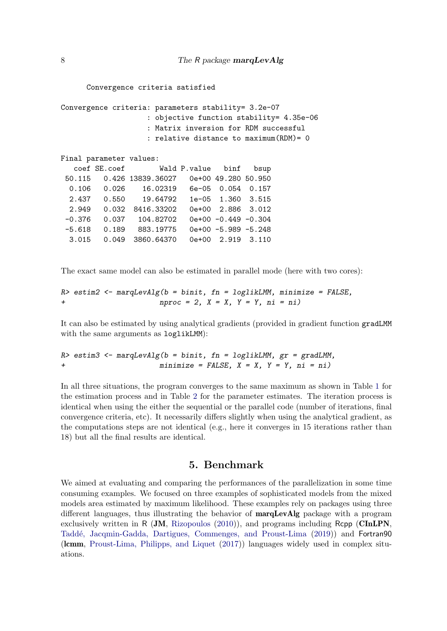```
Convergence criteria satisfied
```

```
Convergence criteria: parameters stability= 3.2e-07
                  : objective function stability= 4.35e-06
                  : Matrix inversion for RDM successful
                  : relative distance to maximum(RDM)= 0
Final parameter values:
  coef SE.coef Wald P.value binf bsup
50.115 0.426 13839.36027 0e+00 49.280 50.950
 0.106 0.026 16.02319 6e-05 0.054 0.157
 2.437 0.550 19.64792 1e-05 1.360 3.515
 2.949 0.032 8416.33202 0e+00 2.886 3.012
 -0.376 0.037 104.82702 0e+00 -0.449 -0.304
 -5.618 0.189 883.19775 0e+00 -5.989 -5.248
 3.015 0.049 3860.64370 0e+00 2.919 3.110
```
The exact same model can also be estimated in parallel mode (here with two cores):

```
R> estim2 <- marqLevAlg(b = binit, fn = loglikLMM, minimize = FALSE,
+ nproc = 2, X = X, Y = Y, ni = ni)
```
It can also be estimated by using analytical gradients (provided in gradient function gradLMM with the same arguments as loglikLMM):

```
R> estim3 <- marqLevAlg(b = binit, fn = loglikLMM, gr = gradLMM,
+ minimize = FALSE, X = X, Y = Y, ni = ni)
```
In all three situations, the program converges to the same maximum as shown in Table [1](#page-8-0) for the estimation process and in Table [2](#page-8-1) for the parameter estimates. The iteration process is identical when using the either the sequential or the parallel code (number of iterations, final convergence criteria, etc). It necessarily differs slightly when using the analytical gradient, as the computations steps are not identical (e.g., here it converges in 15 iterations rather than 18) but all the final results are identical.

# 5. Benchmark

We aimed at evaluating and comparing the performances of the parallelization in some time consuming examples. We focused on three examples of sophisticated models from the mixed models area estimated by maximum likelihood. These examples rely on packages using three different languages, thus illustrating the behavior of marqLevAlg package with a program exclusively written in R (JM, [Rizopoulos](#page-21-5) [\(2010\)](#page-21-5)), and programs including Rcpp (CInLPN, Taddé, Jacqmin-Gadda, Dartigues, Commenges, and Proust-Lima [\(2019\)](#page-22-1)) and Fortran90 (lcmm, [Proust-Lima, Philipps, and Liquet](#page-21-6) [\(2017\)](#page-21-6)) languages widely used in complex situations.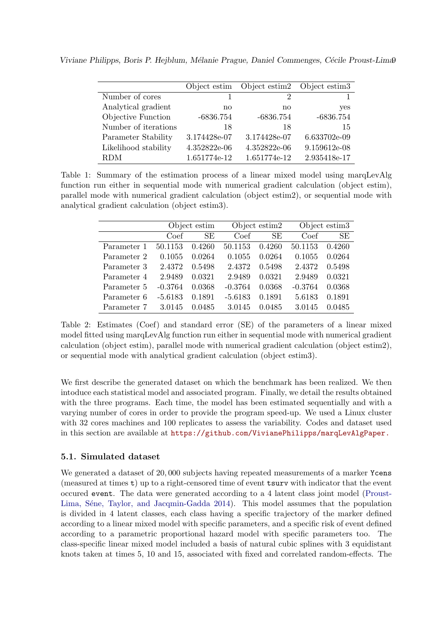Viviane Philipps, Boris P. Hejblum, Mélanie Prague, Daniel Commenges, Cécile Proust-Lima9

|                      | Object estim | Object estim2 Object estim3 |              |
|----------------------|--------------|-----------------------------|--------------|
| Number of cores      |              | 2                           |              |
| Analytical gradient  | no           | no                          | yes          |
| Objective Function   | $-6836.754$  | $-6836.754$                 | $-6836.754$  |
| Number of iterations | 18           | 18                          | -15          |
| Parameter Stability  | 3.174428e-07 | 3.174428e-07                | 6.633702e-09 |
| Likelihood stability | 4.352822e-06 | 4.352822e-06                | 9.159612e-08 |
| <b>RDM</b>           | 1.651774e-12 | 1.651774e-12                | 2.935418e-17 |

<span id="page-8-0"></span>Table 1: Summary of the estimation process of a linear mixed model using marqLevAlg function run either in sequential mode with numerical gradient calculation (object estim), parallel mode with numerical gradient calculation (object estim2), or sequential mode with analytical gradient calculation (object estim3).

|             |           | Object estim |           | Object estim2 |           | Object estim3 |  |
|-------------|-----------|--------------|-----------|---------------|-----------|---------------|--|
|             | Coef      | SE           | Coef      | SE            | Coef      | SЕ            |  |
| Parameter 1 | 50.1153   | 0.4260       | 50.1153   | 0.4260        | 50.1153   | 0.4260        |  |
| Parameter 2 | 0.1055    | 0.0264       | 0.1055    | 0.0264        | 0.1055    | 0.0264        |  |
| Parameter 3 | 2.4372    | 0.5498       | 2.4372    | 0.5498        | 2.4372    | 0.5498        |  |
| Parameter 4 | 2.9489    | 0.0321       | 2.9489    | 0.0321        | 2.9489    | 0.0321        |  |
| Parameter 5 | $-0.3764$ | 0.0368       | $-0.3764$ | 0.0368        | $-0.3764$ | 0.0368        |  |
| Parameter 6 | $-5.6183$ | 0.1891       | $-5.6183$ | 0.1891        | 5.6183    | 0.1891        |  |
| Parameter 7 | 3.0145    | 0.0485       | 3.0145    | 0.0485        | 3.0145    | 0.0485        |  |

<span id="page-8-1"></span>Table 2: Estimates (Coef) and standard error (SE) of the parameters of a linear mixed model fitted using marqLevAlg function run either in sequential mode with numerical gradient calculation (object estim), parallel mode with numerical gradient calculation (object estim2), or sequential mode with analytical gradient calculation (object estim3).

We first describe the generated dataset on which the benchmark has been realized. We then intoduce each statistical model and associated program. Finally, we detail the results obtained with the three programs. Each time, the model has been estimated sequentially and with a varying number of cores in order to provide the program speed-up. We used a Linux cluster with 32 cores machines and 100 replicates to assess the variability. Codes and dataset used in this section are available at <https://github.com/VivianePhilipps/marqLevAlgPaper.>

# 5.1. Simulated dataset

We generated a dataset of 20,000 subjects having repeated measurements of a marker Ycens (measured at times t) up to a right-censored time of event tsurv with indicator that the event occured event. The data were generated according to a 4 latent class joint model [\(Proust-](#page-21-7)Lima, Séne, Taylor, and Jacqmin-Gadda [2014\)](#page-21-7). This model assumes that the population is divided in 4 latent classes, each class having a specific trajectory of the marker defined according to a linear mixed model with specific parameters, and a specific risk of event defined according to a parametric proportional hazard model with specific parameters too. The class-specific linear mixed model included a basis of natural cubic splines with 3 equidistant knots taken at times 5, 10 and 15, associated with fixed and correlated random-effects. The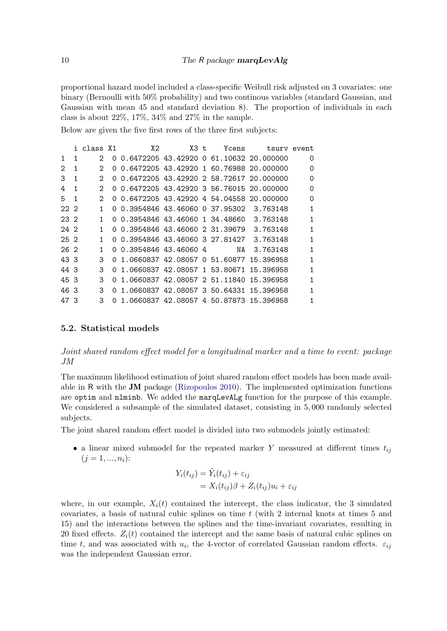proportional hazard model included a class-specific Weibull risk adjusted on 3 covariates: one binary (Bernoulli with 50% probability) and two continous variables (standard Gaussian, and Gaussian with mean 45 and standard deviation 8). The proportion of individuals in each class is about  $22\%$ ,  $17\%$ ,  $34\%$  and  $27\%$  in the sample.

Below are given the five first rows of the three first subjects:

|              |              | i class X1                  | X2                                        | $X3$ t. | Ycens | tsury event                             |          |
|--------------|--------------|-----------------------------|-------------------------------------------|---------|-------|-----------------------------------------|----------|
| $\mathbf{1}$ | $\mathbf{1}$ | 2                           | 0 0.6472205 43.42920 0 61.10632 20.000000 |         |       |                                         | 0        |
| 2            | 1            | 2                           | 0 0.6472205 43.42920 1 60.76988 20.000000 |         |       |                                         | $\Omega$ |
| 3            | 1            | $\mathcal{D}_{\mathcal{L}}$ | 0 0.6472205 43.42920 2 58.72617 20.000000 |         |       |                                         | $\Omega$ |
| 4            | $\mathbf{1}$ | $\mathcal{D}$               | 0 0.6472205 43.42920 3 56.76015 20.000000 |         |       |                                         | $\Omega$ |
| $5 \quad 1$  |              | $\mathcal{D}_{\mathcal{L}}$ | 0 0.6472205 43.42920 4 54.04558 20.000000 |         |       |                                         | $\Omega$ |
| 22.2         |              | 1.                          | 0 0.3954846 43.46060 0 37.95302 3.763148  |         |       |                                         | 1        |
| 23 2         |              | $\mathbf{1}$                | 0 0.3954846 43.46060 1 34.48660 3.763148  |         |       |                                         | 1        |
| 24 2         |              | 1.                          | 0 0.3954846 43.46060 2 31.39679 3.763148  |         |       |                                         | 1        |
| 25 2         |              | 1.                          | 0 0.3954846 43.46060 3 27.81427 3.763148  |         |       |                                         | 1        |
| 26 2         |              | 1                           | 0 0.3954846 43.46060 4                    |         |       | NA 3.763148                             | 1        |
| 43 3         |              | 3                           | 0 1.0660837 42.08057 0 51.60877 15.396958 |         |       |                                         | 1        |
| 44 3         |              | 3                           | 0 1.0660837 42.08057 1 53.80671 15.396958 |         |       |                                         | 1        |
| 45 3         |              | 3                           | 0 1.0660837 42.08057 2 51.11840 15.396958 |         |       |                                         | 1        |
| 46 3         |              | 3                           | 0 1.0660837 42.08057 3 50.64331 15.396958 |         |       |                                         | 1        |
| 47 3         |              | 3                           |                                           |         |       | 1.0660837 42.08057 4 50.87873 15.396958 |          |

#### 5.2. Statistical models

Joint shared random effect model for a longitudinal marker and a time to event: package JM

The maximum likelihood estimation of joint shared random effect models has been made available in R with the JM package [\(Rizopoulos](#page-21-5) [2010\)](#page-21-5). The implemented optimization functions are optim and nlminb. We added the marqLevALg function for the purpose of this example. We considered a subsample of the simulated dataset, consisting in 5, 000 randomly selected subjects.

The joint shared random effect model is divided into two submodels jointly estimated:

• a linear mixed submodel for the repeated marker Y measured at different times  $t_{ij}$  $(j = 1, ..., n_i)$ :

$$
Y_i(t_{ij}) = \tilde{Y}_i(t_{ij}) + \varepsilon_{ij}
$$
  
=  $X_i(t_{ij})\beta + Z_i(t_{ij})u_i + \varepsilon_{ij}$ 

where, in our example,  $X_i(t)$  contained the intercept, the class indicator, the 3 simulated covariates, a basis of natural cubic splines on time t (with 2 internal knots at times 5 and 15) and the interactions between the splines and the time-invariant covariates, resulting in 20 fixed effects.  $Z_i(t)$  contained the intercept and the same basis of natural cubic splines on time t, and was associated with  $u_i$ , the 4-vector of correlated Gaussian random effects.  $\varepsilon_{ij}$ was the independent Gaussian error.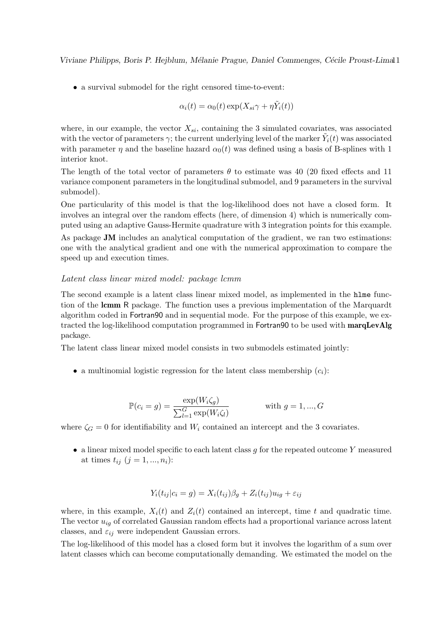• a survival submodel for the right censored time-to-event:

$$
\alpha_i(t) = \alpha_0(t) \exp(X_{si}\gamma + \eta \tilde{Y}_i(t))
$$

where, in our example, the vector  $X_{si}$ , containing the 3 simulated covariates, was associated with the vector of parameters  $\gamma$ ; the current underlying level of the marker  $\tilde{Y}_i(t)$  was associated with parameter  $\eta$  and the baseline hazard  $\alpha_0(t)$  was defined using a basis of B-splines with 1 interior knot.

The length of the total vector of parameters  $\theta$  to estimate was 40 (20 fixed effects and 11) variance component parameters in the longitudinal submodel, and 9 parameters in the survival submodel).

One particularity of this model is that the log-likelihood does not have a closed form. It involves an integral over the random effects (here, of dimension 4) which is numerically computed using an adaptive Gauss-Hermite quadrature with 3 integration points for this example.

As package JM includes an analytical computation of the gradient, we ran two estimations: one with the analytical gradient and one with the numerical approximation to compare the speed up and execution times.

#### Latent class linear mixed model: package lcmm

The second example is a latent class linear mixed model, as implemented in the hlme function of the lcmm R package. The function uses a previous implementation of the Marquardt algorithm coded in Fortran90 and in sequential mode. For the purpose of this example, we extracted the log-likelihood computation programmed in Fortran90 to be used with **marqLevAlg** package.

The latent class linear mixed model consists in two submodels estimated jointly:

• a multinomial logistic regression for the latent class membership  $(c_i)$ :

$$
\mathbb{P}(c_i = g) = \frac{\exp(W_i \zeta_g)}{\sum_{l=1}^G \exp(W_i \zeta_l)} \quad \text{with } g = 1, ..., G
$$

where  $\zeta_G = 0$  for identifiability and  $W_i$  contained an intercept and the 3 covariates.

• a linear mixed model specific to each latent class  $q$  for the repeated outcome Y measured at times  $t_{ij}$   $(j = 1, ..., n_i)$ :

$$
Y_i(t_{ij}|c_i = g) = X_i(t_{ij})\beta_g + Z_i(t_{ij})u_{ig} + \varepsilon_{ij}
$$

where, in this example,  $X_i(t)$  and  $Z_i(t)$  contained an intercept, time t and quadratic time. The vector  $u_{iq}$  of correlated Gaussian random effects had a proportional variance across latent classes, and  $\varepsilon_{ij}$  were independent Gaussian errors.

The log-likelihood of this model has a closed form but it involves the logarithm of a sum over latent classes which can become computationally demanding. We estimated the model on the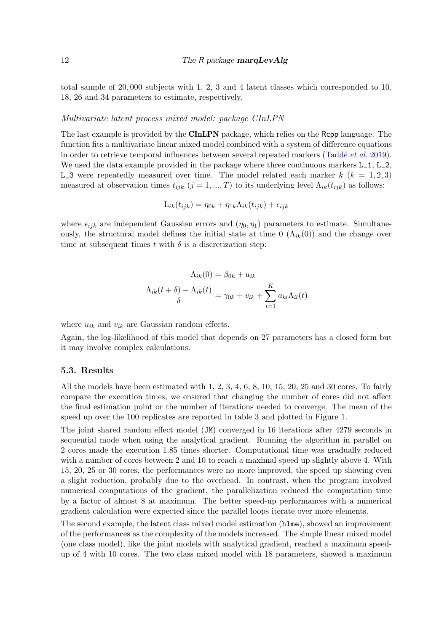total sample of 20, 000 subjects with 1, 2, 3 and 4 latent classes which corresponded to 10, 18, 26 and 34 parameters to estimate, respectively.

#### Multivariate latent process mixed model: package CInLPN

The last example is provided by the CInLPN package, which relies on the Rcpp language. The function fits a multivariate linear mixed model combined with a system of difference equations in order to retrieve temporal influences between several repeated markers (Taddé *et al.* [2019\)](#page-22-1). We used the data example provided in the package where three continuous markers  $L_1$ ,  $L_2$ , L\_3 were repeatedly measured over time. The model related each marker  $k$  ( $k = 1, 2, 3$ ) measured at observation times  $t_{ijk}$   $(j = 1, ..., T)$  to its underlying level  $\Lambda_{ik}(t_{ijk})$  as follows:

$$
L_{ik}(t_{ijk}) = \eta_{0k} + \eta_{1k}\Lambda_{ik}(t_{ijk}) + \epsilon_{ijk}
$$

where  $\epsilon_{ijk}$  are independent Gaussian errors and  $(\eta_0, \eta_1)$  parameters to estimate. Simultaneously, the structural model defines the initial state at time  $0 \left( \Lambda_{ik}(0) \right)$  and the change over time at subsequent times t with  $\delta$  is a discretization step:

$$
\Lambda_{ik}(0) = \beta_{0k} + u_{ik}
$$

$$
\frac{\Lambda_{ik}(t+\delta) - \Lambda_{ik}(t)}{\delta} = \gamma_{0k} + v_{ik} + \sum_{l=1}^{K} a_{kl} \Lambda_{il}(t)
$$

where  $u_{ik}$  and  $v_{ik}$  are Gaussian random effects.

Again, the log-likelihood of this model that depends on 27 parameters has a closed form but it may involve complex calculations.

#### 5.3. Results

All the models have been estimated with 1, 2, 3, 4, 6, 8, 10, 15, 20, 25 and 30 cores. To fairly compare the execution times, we ensured that changing the number of cores did not affect the final estimation point or the number of iterations needed to converge. The mean of the speed up over the 100 replicates are reported in table [3](#page-12-0) and plotted in Figure [1.](#page-13-0)

The joint shared random effect model (JM) converged in 16 iterations after 4279 seconds in sequential mode when using the analytical gradient. Running the algorithm in parallel on 2 cores made the execution 1.85 times shorter. Computational time was gradually reduced with a number of cores between 2 and 10 to reach a maximal speed up slightly above 4. With 15, 20, 25 or 30 cores, the performances were no more improved, the speed up showing even a slight reduction, probably due to the overhead. In contrast, when the program involved numerical computations of the gradient, the parallelization reduced the computation time by a factor of almost 8 at maximum. The better speed-up performances with a numerical gradient calculation were expected since the parallel loops iterate over more elements.

The second example, the latent class mixed model estimation (hlme), showed an improvement of the performances as the complexity of the models increased. The simple linear mixed model (one class model), like the joint models with analytical gradient, reached a maximum speedup of 4 with 10 cores. The two class mixed model with 18 parameters, showed a maximum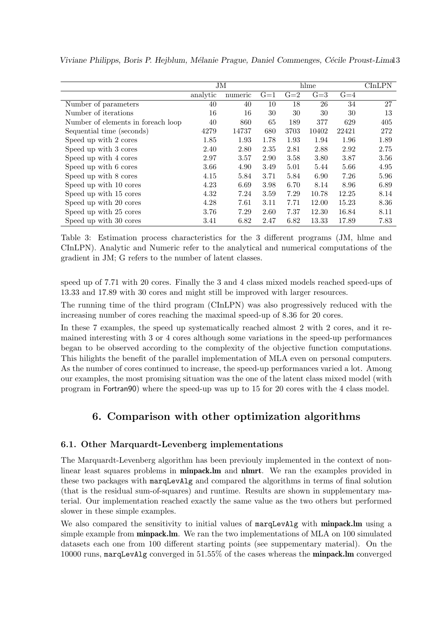|                                    |          |         |       |       | hlme  |       | $\rm CInLPN$ |
|------------------------------------|----------|---------|-------|-------|-------|-------|--------------|
|                                    |          | JM      |       |       |       |       |              |
|                                    | analytic | numeric | $G=1$ | $G=2$ | $G=3$ | $G=4$ |              |
| Number of parameters               | 40       | 40      | 10    | 18    | 26    | 34    | 27           |
| Number of iterations               | 16       | 16      | 30    | 30    | 30    | 30    | 13           |
| Number of elements in foreach loop | 40       | 860     | 65    | 189   | 377   | 629   | 405          |
| Sequential time (seconds)          | 4279     | 14737   | 680   | 3703  | 10402 | 22421 | 272          |
| Speed up with 2 cores              | 1.85     | 1.93    | 1.78  | 1.93  | 1.94  | 1.96  | 1.89         |
| Speed up with 3 cores              | 2.40     | 2.80    | 2.35  | 2.81  | 2.88  | 2.92  | 2.75         |
| Speed up with 4 cores              | 2.97     | 3.57    | 2.90  | 3.58  | 3.80  | 3.87  | 3.56         |
| Speed up with 6 cores              | 3.66     | 4.90    | 3.49  | 5.01  | 5.44  | 5.66  | 4.95         |
| Speed up with 8 cores              | 4.15     | 5.84    | 3.71  | 5.84  | 6.90  | 7.26  | 5.96         |
| Speed up with 10 cores             | 4.23     | 6.69    | 3.98  | 6.70  | 8.14  | 8.96  | 6.89         |
| Speed up with 15 cores             | 4.32     | 7.24    | 3.59  | 7.29  | 10.78 | 12.25 | 8.14         |
| Speed up with 20 cores             | 4.28     | 7.61    | 3.11  | 7.71  | 12.00 | 15.23 | 8.36         |
| Speed up with 25 cores             | 3.76     | 7.29    | 2.60  | 7.37  | 12.30 | 16.84 | 8.11         |
| Speed up with 30 cores             | 3.41     | 6.82    | 2.47  | 6.82  | 13.33 | 17.89 | 7.83         |

Viviane Philipps, Boris P. Hejblum, Mélanie Prague, Daniel Commenges, Cécile Proust-Limal3

<span id="page-12-0"></span>Table 3: Estimation process characteristics for the 3 different programs (JM, hlme and CInLPN). Analytic and Numeric refer to the analytical and numerical computations of the gradient in JM; G refers to the number of latent classes.

speed up of 7.71 with 20 cores. Finally the 3 and 4 class mixed models reached speed-ups of 13.33 and 17.89 with 30 cores and might still be improved with larger resources.

The running time of the third program (CInLPN) was also progressively reduced with the increasing number of cores reaching the maximal speed-up of 8.36 for 20 cores.

In these 7 examples, the speed up systematically reached almost 2 with 2 cores, and it remained interesting with 3 or 4 cores although some variations in the speed-up performances began to be observed according to the complexity of the objective function computations. This hilights the benefit of the parallel implementation of MLA even on personal computers. As the number of cores continued to increase, the speed-up performances varied a lot. Among our examples, the most promising situation was the one of the latent class mixed model (with program in Fortran90) where the speed-up was up to 15 for 20 cores with the 4 class model.

# 6. Comparison with other optimization algorithms

### 6.1. Other Marquardt-Levenberg implementations

The Marquardt-Levenberg algorithm has been previouly implemented in the context of nonlinear least squares problems in **minpack.lm** and **nlmrt**. We ran the examples provided in these two packages with marqLevAlg and compared the algorithms in terms of final solution (that is the residual sum-of-squares) and runtime. Results are shown in supplementary material. Our implementation reached exactly the same value as the two others but performed slower in these simple examples.

We also compared the sensitivity to initial values of marqLevAlg with minpack. Im using a simple example from **minpack.lm**. We ran the two implementations of MLA on 100 simulated datasets each one from 100 different starting points (see suppementary material). On the 10000 runs, marqLevAlg converged in 51.55% of the cases whereas the minpack.lm converged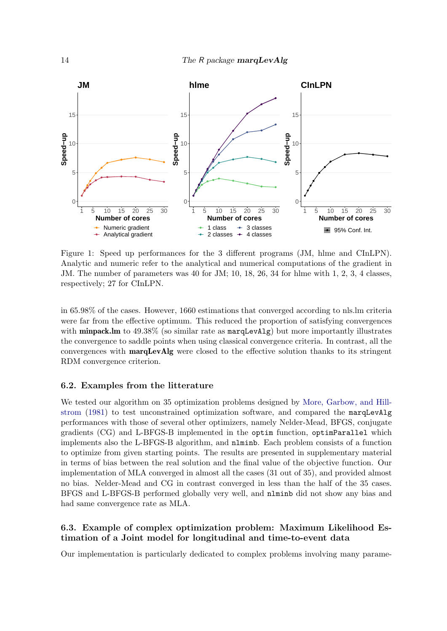

<span id="page-13-0"></span>Figure 1: Speed up performances for the 3 different programs (JM, hlme and CInLPN). Analytic and numeric refer to the analytical and numerical computations of the gradient in JM. The number of parameters was 40 for JM; 10, 18, 26, 34 for hlme with 1, 2, 3, 4 classes, respectively; 27 for CInLPN.

in 65.98% of the cases. However, 1660 estimations that converged according to nls.lm criteria were far from the effective optimum. This reduced the proportion of satisfying convergences with **minpack.lm** to  $49.38\%$  (so similar rate as  $\text{marqLevAlg}$ ) but more importantly illustrates the convergence to saddle points when using classical convergence criteria. In contrast, all the convergences with marqLevAlg were closed to the effective solution thanks to its stringent RDM convergence criterion.

#### 6.2. Examples from the litterature

We tested our algorithm on 35 optimization problems designed by [More, Garbow, and Hill](#page-21-8)[strom](#page-21-8) [\(1981\)](#page-21-8) to test unconstrained optimization software, and compared the marqLevAlg performances with those of several other optimizers, namely Nelder-Mead, BFGS, conjugate gradients (CG) and L-BFGS-B implemented in the optim function, optimParallel which implements also the L-BFGS-B algorithm, and nlminb. Each problem consists of a function to optimize from given starting points. The results are presented in supplementary material in terms of bias between the real solution and the final value of the objective function. Our implementation of MLA converged in almost all the cases (31 out of 35), and provided almost no bias. Nelder-Mead and CG in contrast converged in less than the half of the 35 cases. BFGS and L-BFGS-B performed globally very well, and nlminb did not show any bias and had same convergence rate as MLA.

### 6.3. Example of complex optimization problem: Maximum Likelihood Estimation of a Joint model for longitudinal and time-to-event data

Our implementation is particularly dedicated to complex problems involving many parame-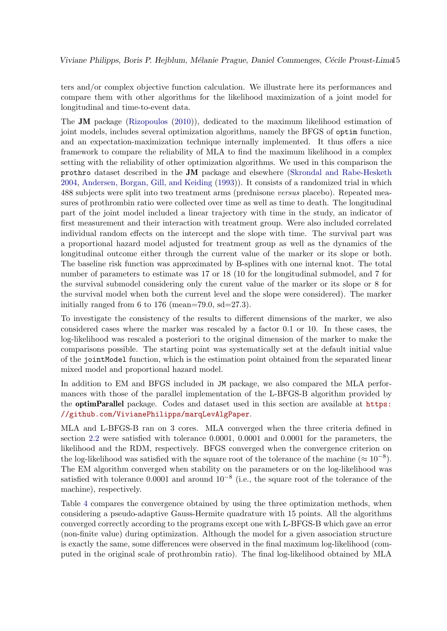ters and/or complex objective function calculation. We illustrate here its performances and compare them with other algorithms for the likelihood maximization of a joint model for longitudinal and time-to-event data.

The JM package [\(Rizopoulos](#page-21-5) [\(2010\)](#page-21-5)), dedicated to the maximum likelihood estimation of joint models, includes several optimization algorithms, namely the BFGS of optim function, and an expectation-maximization technique internally implemented. It thus offers a nice framework to compare the reliability of MLA to find the maximum likelihood in a complex setting with the reliability of other optimization algorithms. We used in this comparison the prothro dataset described in the JM package and elsewhere [\(Skrondal and Rabe-Hesketh](#page-22-2) [2004,](#page-22-2) [Andersen, Borgan, Gill, and Keiding](#page-19-2) [\(1993\)](#page-19-2)). It consists of a randomized trial in which 488 subjects were split into two treatment arms (prednisone versus placebo). Repeated measures of prothrombin ratio were collected over time as well as time to death. The longitudinal part of the joint model included a linear trajectory with time in the study, an indicator of first measurement and their interaction with treatment group. Were also included correlated individual random effects on the intercept and the slope with time. The survival part was a proportional hazard model adjusted for treatment group as well as the dynamics of the longitudinal outcome either through the current value of the marker or its slope or both. The baseline risk function was approximated by B-splines with one internal knot. The total number of parameters to estimate was 17 or 18 (10 for the longitudinal submodel, and 7 for the survival submodel considering only the curent value of the marker or its slope or 8 for the survival model when both the current level and the slope were considered). The marker initially ranged from 6 to 176 (mean=79.0,  $sd=27.3$ ).

To investigate the consistency of the results to different dimensions of the marker, we also considered cases where the marker was rescaled by a factor 0.1 or 10. In these cases, the log-likelihood was rescaled a posteriori to the original dimension of the marker to make the comparisons possible. The starting point was systematically set at the default initial value of the jointModel function, which is the estimation point obtained from the separated linear mixed model and proportional hazard model.

In addition to EM and BFGS included in JM package, we also compared the MLA performances with those of the parallel implementation of the L-BFGS-B algorithm provided by the optimParallel package. Codes and dataset used in this section are available at [https:](https://github.com/VivianePhilipps/marqLevAlgPaper) [//github.com/VivianePhilipps/marqLevAlgPaper](https://github.com/VivianePhilipps/marqLevAlgPaper).

MLA and L-BFGS-B ran on 3 cores. MLA converged when the three criteria defined in section [2.2](#page-2-0) were satisfied with tolerance 0.0001, 0.0001 and 0.0001 for the parameters, the likelihood and the RDM, respectively. BFGS converged when the convergence criterion on the log-likelihood was satisfied with the square root of the tolerance of the machine  $(\approx 10^{-8})$ . The EM algorithm converged when stability on the parameters or on the log-likelihood was satisfied with tolerance 0.0001 and around  $10^{-8}$  (i.e., the square root of the tolerance of the machine), respectively.

Table [4](#page-23-0) compares the convergence obtained by using the three optimization methods, when considering a pseudo-adaptive Gauss-Hermite quadrature with 15 points. All the algorithms converged correctly according to the programs except one with L-BFGS-B which gave an error (non-finite value) during optimization. Although the model for a given association structure is exactly the same, some differences were observed in the final maximum log-likelihood (computed in the original scale of prothrombin ratio). The final log-likelihood obtained by MLA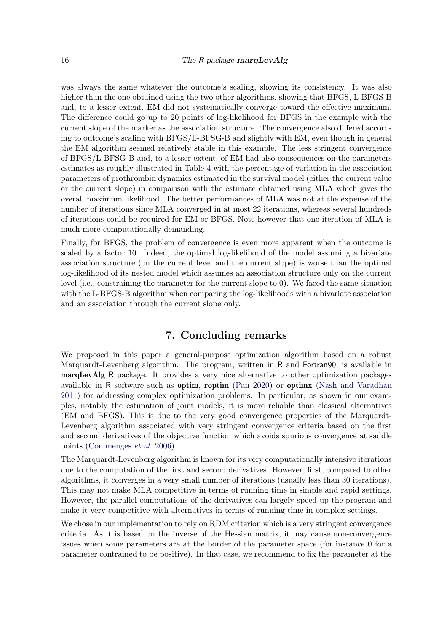was always the same whatever the outcome's scaling, showing its consistency. It was also higher than the one obtained using the two other algorithms, showing that BFGS, L-BFGS-B and, to a lesser extent, EM did not systematically converge toward the effective maximum. The difference could go up to 20 points of log-likelihood for BFGS in the example with the current slope of the marker as the association structure. The convergence also differed according to outcome's scaling with BFGS/L-BFSG-B and slightly with EM, even though in general the EM algorithm seemed relatively stable in this example. The less stringent convergence of BFGS/L-BFSG-B and, to a lesser extent, of EM had also consequences on the parameters estimates as roughly illustrated in Table [4](#page-23-0) with the percentage of variation in the association parameters of prothrombin dynamics estimated in the survival model (either the current value or the current slope) in comparison with the estimate obtained using MLA which gives the overall maximum likelihood. The better performances of MLA was not at the expense of the number of iterations since MLA converged in at most 22 iterations, whereas several hundreds of iterations could be required for EM or BFGS. Note however that one iteration of MLA is much more computationally demanding.

Finally, for BFGS, the problem of convergence is even more apparent when the outcome is scaled by a factor 10. Indeed, the optimal log-likelihood of the model assuming a bivariate association structure (on the current level and the current slope) is worse than the optimal log-likelihood of its nested model which assumes an association structure only on the current level (i.e., constraining the parameter for the current slope to 0). We faced the same situation with the L-BFGS-B algorithm when comparing the log-likelihoods with a bivariate association and an association through the current slope only.

# 7. Concluding remarks

We proposed in this paper a general-purpose optimization algorithm based on a robust Marquardt-Levenberg algorithm. The program, written in R and Fortran90, is available in marqLevAlg R package. It provides a very nice alternative to other optimization packages available in R software such as optim, roptim [\(Pan](#page-21-9) [2020\)](#page-21-9) or optimx [\(Nash and Varadhan](#page-21-1) [2011\)](#page-21-1) for addressing complex optimization problems. In particular, as shown in our examples, notably the estimation of joint models, it is more reliable than classical alternatives (EM and BFGS). This is due to the very good convergence properties of the Marquardt-Levenberg algorithm associated with very stringent convergence criteria based on the first and second derivatives of the objective function which avoids spurious convergence at saddle points [\(Commenges](#page-19-1) et al. [2006\)](#page-19-1).

The Marquardt-Levenberg algorithm is known for its very computationally intensive iterations due to the computation of the first and second derivatives. However, first, compared to other algorithms, it converges in a very small number of iterations (usually less than 30 iterations). This may not make MLA competitive in terms of running time in simple and rapid settings. However, the parallel computations of the derivatives can largely speed up the program and make it very competitive with alternatives in terms of running time in complex settings.

We chose in our implementation to rely on RDM criterion which is a very stringent convergence criteria. As it is based on the inverse of the Hessian matrix, it may cause non-convergence issues when some parameters are at the border of the parameter space (for instance 0 for a parameter contrained to be positive). In that case, we recommend to fix the parameter at the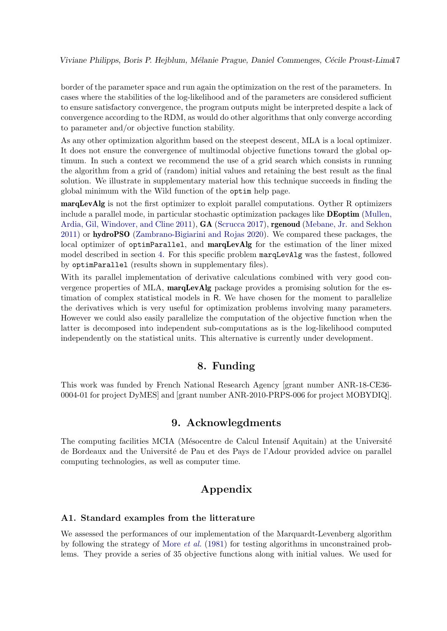Viviane Philipps, Boris P. Hejblum, Mélanie Prague, Daniel Commenges, Cécile Proust-Limal7

border of the parameter space and run again the optimization on the rest of the parameters. In cases where the stabilities of the log-likelihood and of the parameters are considered sufficient to ensure satisfactory convergence, the program outputs might be interpreted despite a lack of convergence according to the RDM, as would do other algorithms that only converge according to parameter and/or objective function stability.

As any other optimization algorithm based on the steepest descent, MLA is a local optimizer. It does not ensure the convergence of multimodal objective functions toward the global optimum. In such a context we recommend the use of a grid search which consists in running the algorithm from a grid of (random) initial values and retaining the best result as the final solution. We illustrate in supplementary material how this technique succeeds in finding the global minimum with the Wild function of the optim help page.

marqLevAlg is not the first optimizer to exploit parallel computations. Oyther R optimizers include a parallel mode, in particular stochastic optimization packages like DEoptim [\(Mullen,](#page-21-10) [Ardia, Gil, Windover, and Cline](#page-21-10) [2011\)](#page-21-10), GA [\(Scrucca](#page-22-3) [2017\)](#page-22-3), rgenoud [\(Mebane, Jr. and Sekhon](#page-20-6) [2011\)](#page-20-6) or hydroPSO [\(Zambrano-Bigiarini and Rojas](#page-22-4) [2020\)](#page-22-4). We compared these packages, the local optimizer of optimParallel, and marqLevAlg for the estimation of the liner mixed model described in section [4.](#page-5-0) For this specific problem marqLevAlg was the fastest, followed by optimParallel (results shown in supplementary files).

With its parallel implementation of derivative calculations combined with very good convergence properties of MLA, marqLevAlg package provides a promising solution for the estimation of complex statistical models in R. We have chosen for the moment to parallelize the derivatives which is very useful for optimization problems involving many parameters. However we could also easily parallelize the computation of the objective function when the latter is decomposed into independent sub-computations as is the log-likelihood computed independently on the statistical units. This alternative is currently under development.

# 8. Funding

This work was funded by French National Research Agency [grant number ANR-18-CE36- 0004-01 for project DyMES] and [grant number ANR-2010-PRPS-006 for project MOBYDIQ].

# 9. Acknowlegdments

The computing facilities MCIA (Mésocentre de Calcul Intensif Aquitain) at the Université de Bordeaux and the Université de Pau et des Pays de l'Adour provided advice on parallel computing technologies, as well as computer time.

# Appendix

#### A1. Standard examples from the litterature

We assessed the performances of our implementation of the Marquardt-Levenberg algorithm by following the strategy of [More](#page-21-8) *et al.* [\(1981\)](#page-21-8) for testing algorithms in unconstrained problems. They provide a series of 35 objective functions along with initial values. We used for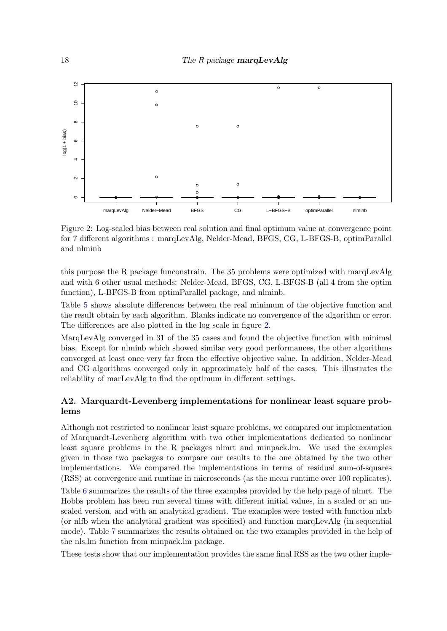

<span id="page-17-0"></span>Figure 2: Log-scaled bias between real solution and final optimum value at convergence point for 7 different algorithms : marqLevAlg, Nelder-Mead, BFGS, CG, L-BFGS-B, optimParallel and nlminb

this purpose the R package funconstrain. The 35 problems were optimized with marqLevAlg and with 6 other usual methods: Nelder-Mead, BFGS, CG, L-BFGS-B (all 4 from the optim function), L-BFGS-B from optimParallel package, and nlminb.

Table [5](#page-24-0) shows absolute differences between the real minimum of the objective function and the result obtain by each algorithm. Blanks indicate no convergence of the algorithm or error. The differences are also plotted in the log scale in figure [2.](#page-17-0)

MarqLevAlg converged in 31 of the 35 cases and found the objective function with minimal bias. Except for nlminb which showed similar very good performances, the other algorithms converged at least once very far from the effective objective value. In addition, Nelder-Mead and CG algorithms converged only in approximately half of the cases. This illustrates the reliability of marLevAlg to find the optimum in different settings.

# A2. Marquardt-Levenberg implementations for nonlinear least square problems

Although not restricted to nonlinear least square problems, we compared our implementation of Marquardt-Levenberg algorithm with two other implementations dedicated to nonlinear least square problems in the R packages nlmrt and minpack.lm. We used the examples given in those two packages to compare our results to the one obtained by the two other implementations. We compared the implementations in terms of residual sum-of-squares (RSS) at convergence and runtime in microseconds (as the mean runtime over 100 replicates).

Table [6](#page-25-0) summarizes the results of the three examples provided by the help page of nlmrt. The Hobbs problem has been run several times with different initial values, in a scaled or an unscaled version, and with an analytical gradient. The examples were tested with function nlxb (or nlfb when the analytical gradient was specified) and function marqLevAlg (in sequential mode). Table [7](#page-25-1) summarizes the results obtained on the two examples provided in the help of the nls.lm function from minpack.lm package.

These tests show that our implementation provides the same final RSS as the two other imple-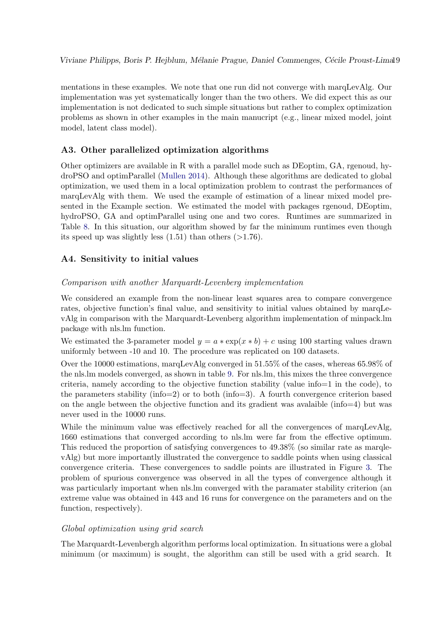mentations in these examples. We note that one run did not converge with marqLevAlg. Our implementation was yet systematically longer than the two others. We did expect this as our implementation is not dedicated to such simple situations but rather to complex optimization problems as shown in other examples in the main manucript (e.g., linear mixed model, joint model, latent class model).

### A3. Other parallelized optimization algorithms

Other optimizers are available in R with a parallel mode such as DEoptim, GA, rgenoud, hydroPSO and optimParallel [\(Mullen](#page-21-11) [2014\)](#page-21-11). Although these algorithms are dedicated to global optimization, we used them in a local optimization problem to contrast the performances of marqLevAlg with them. We used the example of estimation of a linear mixed model presented in the Example section. We estimated the model with packages rgenoud, DEoptim, hydroPSO, GA and optimParallel using one and two cores. Runtimes are summarized in Table [8.](#page-25-2) In this situation, our algorithm showed by far the minimum runtimes even though its speed up was slightly less  $(1.51)$  than others  $(>1.76)$ .

# A4. Sensitivity to initial values

#### Comparison with another Marquardt-Levenberg implementation

We considered an example from the non-linear least squares area to compare convergence rates, objective function's final value, and sensitivity to initial values obtained by marqLevAlg in comparison with the Marquardt-Levenberg algorithm implementation of minpack.lm package with nls.lm function.

We estimated the 3-parameter model  $y = a * \exp(x * b) + c$  using 100 starting values drawn uniformly between -10 and 10. The procedure was replicated on 100 datasets.

Over the 10000 estimations, marqLevAlg converged in 51.55% of the cases, whereas 65.98% of the nls.lm models converged, as shown in table [9.](#page-25-3) For nls.lm, this mixes the three convergence criteria, namely according to the objective function stability (value info=1 in the code), to the parameters stability (info=2) or to both (info=3). A fourth convergence criterion based on the angle between the objective function and its gradient was avalaible (info=4) but was never used in the 10000 runs.

While the minimum value was effectively reached for all the convergences of marqLevAlg, 1660 estimations that converged according to nls.lm were far from the effective optimum. This reduced the proportion of satisfying convergences to 49.38% (so similar rate as marglevAlg) but more importantly illustrated the convergence to saddle points when using classical convergence criteria. These convergences to saddle points are illustrated in Figure [3.](#page-19-3) The problem of spurious convergence was observed in all the types of convergence although it was particularly important when nls.lm converged with the paramater stability criterion (an extreme value was obtained in 443 and 16 runs for convergence on the parameters and on the function, respectively).

#### Global optimization using grid search

The Marquardt-Levenbergh algorithm performs local optimization. In situations were a global minimum (or maximum) is sought, the algorithm can still be used with a grid search. It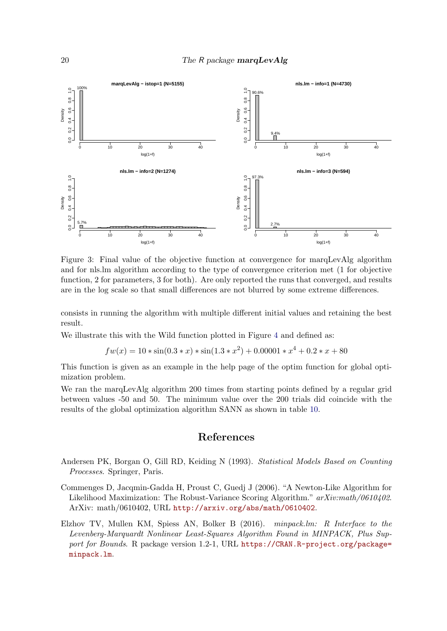

<span id="page-19-3"></span>Figure 3: Final value of the objective function at convergence for marqLevAlg algorithm and for nls.lm algorithm according to the type of convergence criterion met (1 for objective function, 2 for parameters, 3 for both). Are only reported the runs that converged, and results are in the log scale so that small differences are not blurred by some extreme differences.

consists in running the algorithm with multiple different initial values and retaining the best result.

We illustrate this with the Wild function plotted in Figure [4](#page-20-7) and defined as:

$$
fw(x) = 10 * sin(0.3 * x) * sin(1.3 * x2) + 0.00001 * x4 + 0.2 * x + 80
$$

This function is given as an example in the help page of the optim function for global optimization problem.

We ran the marqLevAlg algorithm 200 times from starting points defined by a regular grid between values -50 and 50. The minimum value over the 200 trials did coincide with the results of the global optimization algorithm SANN as shown in table [10.](#page-26-0)

# References

- <span id="page-19-2"></span>Andersen PK, Borgan O, Gill RD, Keiding N (1993). Statistical Models Based on Counting Processes. Springer, Paris.
- <span id="page-19-1"></span>Commenges D, Jacqmin-Gadda H, Proust C, Guedj J (2006). "A Newton-Like Algorithm for Likelihood Maximization: The Robust-Variance Scoring Algorithm." arXiv:math/0610402. ArXiv: math/0610402, URL <http://arxiv.org/abs/math/0610402>.
- <span id="page-19-0"></span>Elzhov TV, Mullen KM, Spiess AN, Bolker B (2016). minpack.lm: R Interface to the Levenberg-Marquardt Nonlinear Least-Squares Algorithm Found in MINPACK, Plus Support for Bounds. R package version 1.2-1, URL [https://CRAN.R-project.org/package=](https://CRAN.R-project.org/package=minpack.lm) [minpack.lm](https://CRAN.R-project.org/package=minpack.lm).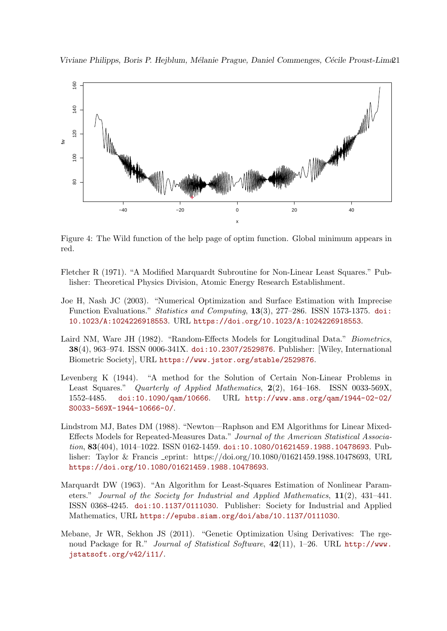Viviane Philipps, Boris P. Hejblum, Mélanie Prague, Daniel Commenges, Cécile Proust-Lima21



<span id="page-20-7"></span>Figure 4: The Wild function of the help page of optim function. Global minimum appears in red.

- <span id="page-20-4"></span>Fletcher R (1971). "A Modified Marquardt Subroutine for Non-Linear Least Squares." Publisher: Theoretical Physics Division, Atomic Energy Research Establishment.
- <span id="page-20-0"></span>Joe H, Nash JC (2003). "Numerical Optimization and Surface Estimation with Imprecise Function Evaluations." Statistics and Computing, 13(3), 277–286. ISSN 1573-1375. [doi:](http://dx.doi.org/10.1023/A:1024226918553) [10.1023/A:1024226918553](http://dx.doi.org/10.1023/A:1024226918553). URL <https://doi.org/10.1023/A:1024226918553>.
- <span id="page-20-5"></span>Laird NM, Ware JH (1982). "Random-Effects Models for Longitudinal Data." Biometrics, 38(4), 963–974. ISSN 0006-341X. [doi:10.2307/2529876](http://dx.doi.org/10.2307/2529876). Publisher: [Wiley, International Biometric Society], URL <https://www.jstor.org/stable/2529876>.
- <span id="page-20-2"></span>Levenberg K (1944). "A method for the Solution of Certain Non-Linear Problems in Least Squares." Quarterly of Applied Mathematics, 2(2), 164–168. ISSN 0033-569X, 1552-4485. [doi:10.1090/qam/10666](http://dx.doi.org/10.1090/qam/10666). URL [http://www.ams.org/qam/1944-02-02/](http://www.ams.org/qam/1944-02-02/S0033-569X-1944-10666-0/) [S0033-569X-1944-10666-0/](http://www.ams.org/qam/1944-02-02/S0033-569X-1944-10666-0/).
- <span id="page-20-1"></span>Lindstrom MJ, Bates DM (1988). "Newton—Raphson and EM Algorithms for Linear Mixed-Effects Models for Repeated-Measures Data." Journal of the American Statistical Association, 83(404), 1014-1022. ISSN 0162-1459. [doi:10.1080/01621459.1988.10478693](http://dx.doi.org/10.1080/01621459.1988.10478693). Publisher: Taylor & Francis eprint: https://doi.org/10.1080/01621459.1988.10478693, URL <https://doi.org/10.1080/01621459.1988.10478693>.
- <span id="page-20-3"></span>Marquardt DW (1963). "An Algorithm for Least-Squares Estimation of Nonlinear Parameters." Journal of the Society for Industrial and Applied Mathematics, 11(2), 431–441. ISSN 0368-4245. [doi:10.1137/0111030](http://dx.doi.org/10.1137/0111030). Publisher: Society for Industrial and Applied Mathematics, URL <https://epubs.siam.org/doi/abs/10.1137/0111030>.
- <span id="page-20-6"></span>Mebane, Jr WR, Sekhon JS (2011). "Genetic Optimization Using Derivatives: The rgenoud Package for R." Journal of Statistical Software, 42(11), 1-26. URL [http://www.](http://www.jstatsoft.org/v42/i11/) [jstatsoft.org/v42/i11/](http://www.jstatsoft.org/v42/i11/).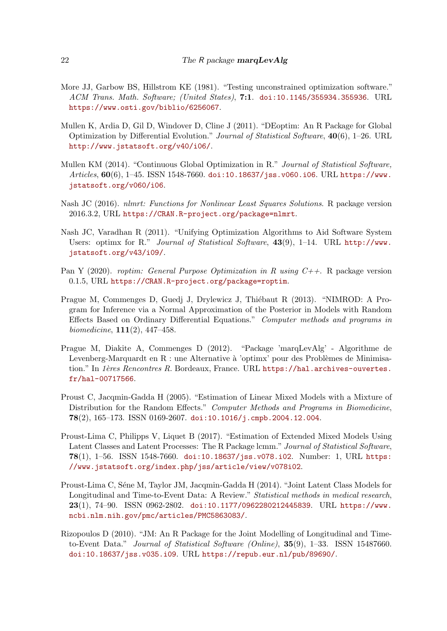- <span id="page-21-8"></span>More JJ, Garbow BS, Hillstrom KE (1981). "Testing unconstrained optimization software." ACM Trans. Math. Software; (United States), 7:1. [doi:10.1145/355934.355936](http://dx.doi.org/10.1145/355934.355936). URL <https://www.osti.gov/biblio/6256067>.
- <span id="page-21-10"></span>Mullen K, Ardia D, Gil D, Windover D, Cline J (2011). "DEoptim: An R Package for Global Optimization by Differential Evolution." Journal of Statistical Software, 40(6), 1–26. URL <http://www.jstatsoft.org/v40/i06/>.
- <span id="page-21-11"></span>Mullen KM (2014). "Continuous Global Optimization in R." Journal of Statistical Software,  $Articles, 60(6), 1-45.$  ISSN 1548-7660. [doi:10.18637/jss.v060.i06](http://dx.doi.org/10.18637/jss.v060.i06). URL [https://www.](https://www.jstatsoft.org/v060/i06) [jstatsoft.org/v060/i06](https://www.jstatsoft.org/v060/i06).
- <span id="page-21-2"></span>Nash JC (2016). nlmrt: Functions for Nonlinear Least Squares Solutions. R package version 2016.3.2, URL <https://CRAN.R-project.org/package=nlmrt>.
- <span id="page-21-1"></span>Nash JC, Varadhan R (2011). "Unifying Optimization Algorithms to Aid Software System Users: optimx for R." Journal of Statistical Software, 43(9), 1–14. URL [http://www.](http://www.jstatsoft.org/v43/i09/) [jstatsoft.org/v43/i09/](http://www.jstatsoft.org/v43/i09/).
- <span id="page-21-9"></span>Pan Y (2020). roptim: General Purpose Optimization in R using  $C_{++}$ . R package version 0.1.5, URL <https://CRAN.R-project.org/package=roptim>.
- <span id="page-21-4"></span>Prague M, Commenges D, Guedj J, Drylewicz J, Thiébaut R (2013). "NIMROD: A Program for Inference via a Normal Approximation of the Posterior in Models with Random Effects Based on Ordinary Differential Equations." Computer methods and programs in biomedicine, 111(2), 447–458.
- <span id="page-21-3"></span>Prague M, Diakite A, Commenges D (2012). "Package 'marqLevAlg' - Algorithme de Levenberg-Marquardt en  $R$ : une Alternative à 'optimx' pour des Problèmes de Minimisation." In 1ères Rencontres R. Bordeaux, France. URL [https://hal.archives-ouvertes.](https://hal.archives-ouvertes.fr/hal-00717566) [fr/hal-00717566](https://hal.archives-ouvertes.fr/hal-00717566).
- <span id="page-21-0"></span>Proust C, Jacqmin-Gadda H (2005). "Estimation of Linear Mixed Models with a Mixture of Distribution for the Random Effects." Computer Methods and Programs in Biomedicine, 78(2), 165–173. ISSN 0169-2607. [doi:10.1016/j.cmpb.2004.12.004](http://dx.doi.org/10.1016/j.cmpb.2004.12.004).
- <span id="page-21-6"></span>Proust-Lima C, Philipps V, Liquet B (2017). "Estimation of Extended Mixed Models Using Latent Classes and Latent Processes: The R Package lcmm." Journal of Statistical Software, 78(1), 1–56. ISSN 1548-7660. [doi:10.18637/jss.v078.i02](http://dx.doi.org/10.18637/jss.v078.i02). Number: 1, URL [https:](https://www.jstatsoft.org/index.php/jss/article/view/v078i02) [//www.jstatsoft.org/index.php/jss/article/view/v078i02](https://www.jstatsoft.org/index.php/jss/article/view/v078i02).
- <span id="page-21-7"></span>Proust-Lima C, Séne M, Taylor JM, Jacqmin-Gadda H (2014). "Joint Latent Class Models for Longitudinal and Time-to-Event Data: A Review." Statistical methods in medical research, 23(1), 74–90. ISSN 0962-2802. [doi:10.1177/0962280212445839](http://dx.doi.org/10.1177/0962280212445839). URL [https://www.](https://www.ncbi.nlm.nih.gov/pmc/articles/PMC5863083/) [ncbi.nlm.nih.gov/pmc/articles/PMC5863083/](https://www.ncbi.nlm.nih.gov/pmc/articles/PMC5863083/).
- <span id="page-21-5"></span>Rizopoulos D (2010). "JM: An R Package for the Joint Modelling of Longitudinal and Timeto-Event Data." Journal of Statistical Software (Online), 35(9), 1–33. ISSN 15487660. [doi:10.18637/jss.v035.i09](http://dx.doi.org/10.18637/jss.v035.i09). URL <https://repub.eur.nl/pub/89690/>.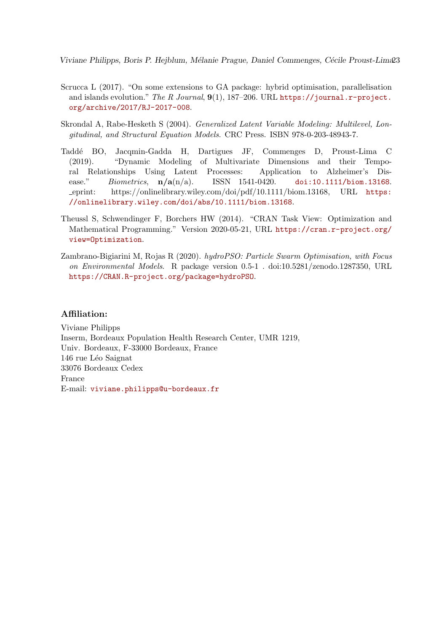Viviane Philipps, Boris P. Hejblum, Mélanie Prague, Daniel Commenges, Cécile Proust-Lima23

- <span id="page-22-3"></span>Scrucca L (2017). "On some extensions to GA package: hybrid optimisation, parallelisation and islands evolution." The R Journal,  $9(1)$ , 187-206. URL [https://journal.r-project.](https://journal.r-project.org/archive/2017/RJ-2017-008) [org/archive/2017/RJ-2017-008](https://journal.r-project.org/archive/2017/RJ-2017-008).
- <span id="page-22-2"></span>Skrondal A, Rabe-Hesketh S (2004). Generalized Latent Variable Modeling: Multilevel, Longitudinal, and Structural Equation Models. CRC Press. ISBN 978-0-203-48943-7.
- <span id="page-22-1"></span>Tadd´e BO, Jacqmin-Gadda H, Dartigues JF, Commenges D, Proust-Lima C (2019). "Dynamic Modeling of Multivariate Dimensions and their Temporal Relationships Using Latent Processes: Application to Alzheimer's Disease." Biometrics,  $n/a(n/a)$ . ISSN 1541-0420. [doi:10.1111/biom.13168](http://dx.doi.org/10.1111/biom.13168). eprint: https://onlinelibrary.wiley.com/doi/pdf/10.1111/biom.13168, URL [https:](https://onlinelibrary.wiley.com/doi/abs/10.1111/biom.13168) [//onlinelibrary.wiley.com/doi/abs/10.1111/biom.13168](https://onlinelibrary.wiley.com/doi/abs/10.1111/biom.13168).
- <span id="page-22-0"></span>Theussl S, Schwendinger F, Borchers HW (2014). "CRAN Task View: Optimization and Mathematical Programming." Version 2020-05-21, URL [https://cran.r-project.org/](https://cran.r-project.org/view=Optimization) [view=Optimization](https://cran.r-project.org/view=Optimization).
- <span id="page-22-4"></span>Zambrano-Bigiarini M, Rojas R (2020). hydroPSO: Particle Swarm Optimisation, with Focus on Environmental Models. R package version 0.5-1 . doi:10.5281/zenodo.1287350, URL <https://CRAN.R-project.org/package=hydroPSO>.

### Affiliation:

Viviane Philipps Inserm, Bordeaux Population Health Research Center, UMR 1219, Univ. Bordeaux, F-33000 Bordeaux, France 146 rue Léo Saignat 33076 Bordeaux Cedex France E-mail: [viviane.philipps@u-bordeaux.fr](mailto:viviane.philipps@u-bordeaux.fr)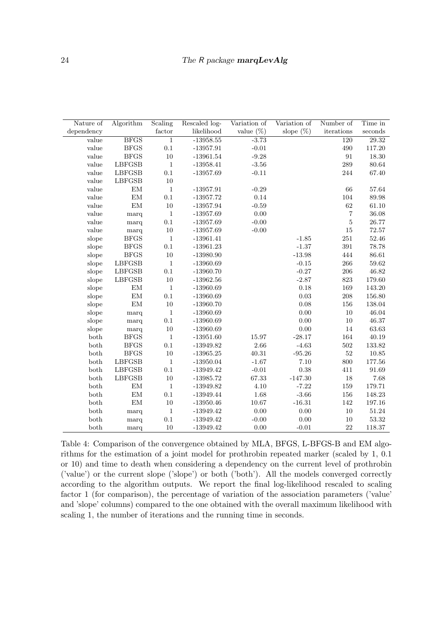| Nature of      | Algorithm      | Scaling      | Rescaled log- | Variation of | Variation of | Number of      | Time in            |
|----------------|----------------|--------------|---------------|--------------|--------------|----------------|--------------------|
| dependency     |                | factor       | likelihood    | value $(\%)$ | slope $(\%)$ | iterations     | seconds            |
| value          | <b>BFGS</b>    | $1\,$        | $-13958.55$   | $-3.73$      |              | 120            | $\overline{29.32}$ |
| value          | $\rm BFGS$     | $0.1\,$      | $-13957.91$   | $-0.01$      |              | 490            | 117.20             |
| value          | <b>BFGS</b>    | $10\,$       | $-13961.54$   | $-9.28$      |              | $\rm 91$       | $18.30\,$          |
| value          | ${\rm LBFGSB}$ | $\,1\,$      | $-13958.41$   | $-3.56$      |              | 289            | 80.64              |
| value          | LBFGSB         | $0.1\,$      | $-13957.69$   | $-0.11$      |              | 244            | 67.40              |
| value          | LBFGSB         | $10\,$       |               |              |              |                |                    |
| value          | EM             | $\,1\,$      | $-13957.91$   | $-0.29$      |              | 66             | 57.64              |
| $_{\rm value}$ | $\mathrm{EM}$  | 0.1          | $-13957.72$   | 0.14         |              | 104            | 89.98              |
| $_{\rm value}$ | $\mathrm{EM}$  | $10\,$       | $-13957.94$   | $-0.59$      |              | 62             | $61.10\,$          |
| value          | marq           | $\,1\,$      | $-13957.69$   | 0.00         |              | $\overline{7}$ | $36.08\,$          |
| value          | marq           | $0.1\,$      | $-13957.69$   | $-0.00$      |              | $\bf 5$        | 26.77              |
| value          | marq           | $10\,$       | $-13957.69$   | $-0.00$      |              | $15\,$         | $72.57\,$          |
| slope          | <b>BFGS</b>    | $\mathbf{1}$ | $-13961.41$   |              | $-1.85$      | $251\,$        | $52.46\,$          |
| slope          | <b>BFGS</b>    | $0.1\,$      | $-13961.23$   |              | $-1.37$      | $391\,$        | 78.78              |
| slope          | <b>BFGS</b>    | $10\,$       | $-13980.90$   |              | $-13.98$     | 444            | 86.61              |
| slope          | LBFGSB         | $\,1$        | $-13960.69$   |              | $-0.15$      | 266            | $59.62\,$          |
| slope          | LBFGSB         | $0.1\,$      | $-13960.70$   |              | $-0.27$      | $\,206$        | $46.82\,$          |
| slope          | LBFGSB         | $10\,$       | $-13962.56$   |              | $-2.87$      | 823            | 179.60             |
| slope          | EM             | $\mathbf{1}$ | $-13960.69$   |              | 0.18         | 169            | 143.20             |
| slope          | $\mathrm{EM}$  | $0.1\,$      | $-13960.69$   |              | 0.03         | $208\,$        | 156.80             |
| slope          | EM             | $10\,$       | $-13960.70$   |              | 0.08         | 156            | 138.04             |
| slope          | marq           | $\mathbf{1}$ | $-13960.69$   |              | 0.00         | 10             | 46.04              |
| slope          | marq           | $0.1\,$      | $-13960.69$   |              | 0.00         | $10\,$         | 46.37              |
| slope          | marq           | $10\,$       | $-13960.69$   |              | $0.00\,$     | 14             | $63.63\,$          |
| both           | <b>BFGS</b>    | $\,1\,$      | $-13951.60$   | 15.97        | $-28.17$     | 164            | $40.19\,$          |
| $_{\rm both}$  | <b>BFGS</b>    | $0.1\,$      | $-13949.82$   | 2.66         | $-4.63$      | $502\,$        | 133.82             |
| both           | <b>BFGS</b>    | $10\,$       | $-13965.25$   | 40.31        | $-95.26$     | $52\,$         | $10.85\,$          |
| both           | <b>LBFGSB</b>  | $\,1\,$      | $-13950.04$   | $-1.67$      | 7.10         | 800            | 177.56             |
| both           | <b>LBFGSB</b>  | $0.1\,$      | $-13949.42$   | $-0.01$      | 0.38         | 411            | 91.69              |
| both           | <b>LBFGSB</b>  | $10\,$       | $-13985.72$   | 67.33        | $-147.30$    | 18             | 7.68               |
| both           | $\mathrm{EM}$  | $\mathbf{1}$ | $-13949.82$   | 4.10         | $-7.22$      | 159            | 179.71             |
| both           | $\mathrm{EM}$  | $0.1\,$      | $-13949.44$   | 1.68         | $-3.66$      | 156            | 148.23             |
| both           | $\mathrm{EM}$  | $10\,$       | $-13950.46$   | 10.67        | $-16.31$     | 142            | 197.16             |
| both           | marq           | $\,1\,$      | $-13949.42$   | 0.00         | $0.00\,$     | $10\,$         | $51.24\,$          |
| both           | marq           | $0.1\,$      | $-13949.42$   | $-0.00$      | $0.00\,$     | $10\,$         | $53.32\,$          |
| both           | marq           | 10           | $-13949.42$   | 0.00         | $-0.01$      | 22             | 118.37             |

<span id="page-23-0"></span>Table 4: Comparison of the convergence obtained by MLA, BFGS, L-BFGS-B and EM algorithms for the estimation of a joint model for prothrobin repeated marker (scaled by 1, 0.1 or 10) and time to death when considering a dependency on the current level of prothrobin ('value') or the current slope ('slope') or both ('both'). All the models converged correctly according to the algorithm outputs. We report the final log-likelihood rescaled to scaling factor 1 (for comparison), the percentage of variation of the association parameters ('value' and 'slope' columns) compared to the one obtained with the overall maximum likelihood with scaling 1, the number of iterations and the running time in seconds.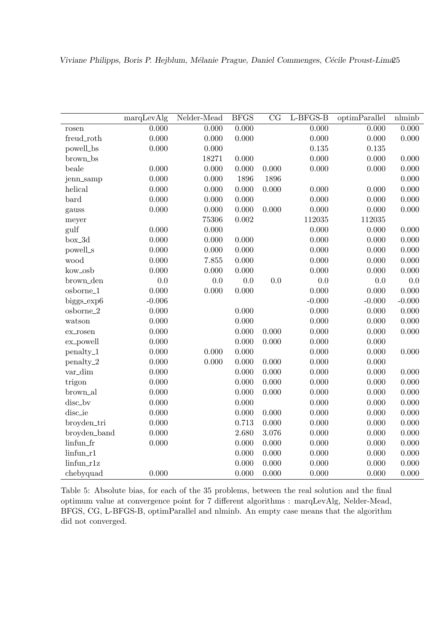|                           | marqLevAlg | Nelder-Mead | <b>BFGS</b> | $\overline{\text{CG}}$ | $L-BFGS-B$ | optimParallel | nlminb   |
|---------------------------|------------|-------------|-------------|------------------------|------------|---------------|----------|
| rosen                     | 0.000      | 0.000       | 0.000       |                        | 0.000      | 0.000         | 0.000    |
| freud_roth                | 0.000      | 0.000       | 0.000       |                        | 0.000      | 0.000         | 0.000    |
| powell_bs                 | 0.000      | 0.000       |             |                        | 0.135      | 0.135         |          |
| brown_bs                  |            | 18271       | 0.000       |                        | 0.000      | 0.000         | 0.000    |
| beale                     | 0.000      | 0.000       | 0.000       | 0.000                  | 0.000      | 0.000         | 0.000    |
| jenn_samp                 | 0.000      | 0.000       | 1896        | 1896                   |            |               | 0.000    |
| helical                   | 0.000      | 0.000       | 0.000       | 0.000                  | 0.000      | 0.000         | 0.000    |
| bard                      | 0.000      | 0.000       | 0.000       |                        | 0.000      | 0.000         | 0.000    |
| gauss                     | 0.000      | 0.000       | 0.000       | 0.000                  | 0.000      | 0.000         | 0.000    |
| meyer                     |            | 75306       | 0.002       |                        | 112035     | 112035        |          |
| gulf                      | 0.000      | 0.000       |             |                        | 0.000      | 0.000         | 0.000    |
| box_3d                    | 0.000      | 0.000       | 0.000       |                        | 0.000      | 0.000         | 0.000    |
| powell_s                  | 0.000      | 0.000       | 0.000       |                        | 0.000      | 0.000         | 0.000    |
| wood                      | 0.000      | 7.855       | 0.000       |                        | 0.000      | 0.000         | 0.000    |
| kow_osb                   | 0.000      | 0.000       | 0.000       |                        | 0.000      | 0.000         | 0.000    |
| brown_den                 | 0.0        | $0.0\,$     | $0.0\,$     | 0.0                    | 0.0        | 0.0           | 0.0      |
| osborne_1                 | 0.000      | 0.000       | 0.000       |                        | 0.000      | 0.000         | 0.000    |
| biggs_exp6                | $-0.006$   |             |             |                        | $-0.000$   | $-0.000$      | $-0.000$ |
| osborne_2                 | 0.000      |             | 0.000       |                        | 0.000      | 0.000         | 0.000    |
| watson                    | 0.000      |             | 0.000       |                        | 0.000      | 0.000         | 0.000    |
| ex_rosen                  | 0.000      |             | 0.000       | 0.000                  | 0.000      | 0.000         | 0.000    |
| ex_powell                 | 0.000      |             | 0.000       | 0.000                  | 0.000      | 0.000         |          |
| penalty_1                 | 0.000      | 0.000       | 0.000       |                        | 0.000      | 0.000         | 0.000    |
| penalty_2                 | 0.000      | 0.000       | 0.000       | 0.000                  | 0.000      | 0.000         |          |
| var_dim                   | 0.000      |             | 0.000       | 0.000                  | 0.000      | 0.000         | 0.000    |
| trigon                    | 0.000      |             | 0.000       | 0.000                  | 0.000      | 0.000         | 0.000    |
| brown_al                  | 0.000      |             | 0.000       | 0.000                  | 0.000      | 0.000         | 0.000    |
| disc_bv                   | 0.000      |             | 0.000       |                        | 0.000      | 0.000         | 0.000    |
| disc_ie                   | 0.000      |             | 0.000       | 0.000                  | 0.000      | 0.000         | 0.000    |
| broyden_tri               | 0.000      |             | 0.713       | 0.000                  | 0.000      | 0.000         | 0.000    |
| broyden_band              | 0.000      |             | 2.680       | 3.076                  | 0.000      | 0.000         | 0.000    |
| linfun_fr                 | 0.000      |             | 0.000       | 0.000                  | 0.000      | 0.000         | 0.000    |
| $\lim$ fun $\mathbf{-}r1$ |            |             | 0.000       | 0.000                  | 0.000      | 0.000         | 0.000    |
| linfun_r1z                |            |             | 0.000       | 0.000                  | 0.000      | 0.000         | 0.000    |
| chebyquad                 | 0.000      |             | 0.000       | 0.000                  | 0.000      | 0.000         | 0.000    |

<span id="page-24-0"></span>Table 5: Absolute bias, for each of the 35 problems, between the real solution and the final optimum value at convergence point for 7 different algorithms : marqLevAlg, Nelder-Mead, BFGS, CG, L-BFGS-B, optimParallel and nlminb. An empty case means that the algorithm did not converged.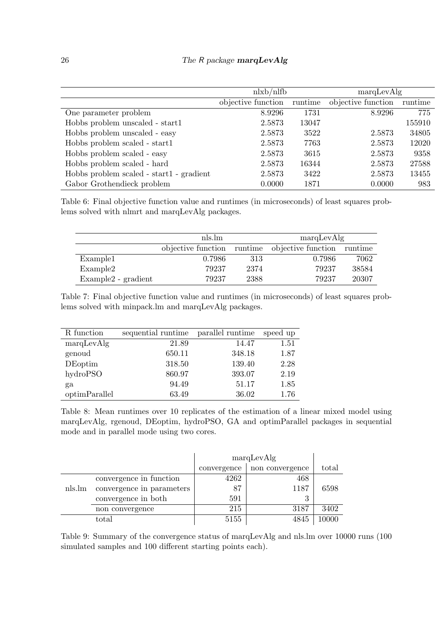|                                          | nlxb/nlfb          |         | marqLevAlg         |         |  |
|------------------------------------------|--------------------|---------|--------------------|---------|--|
|                                          | objective function | runtime | objective function | runtime |  |
| One parameter problem                    | 8.9296             | 1731    | 8.9296             | 775     |  |
| Hobbs problem unscaled - start1          | 2.5873             | 13047   |                    | 155910  |  |
| Hobbs problem unscaled - easy            | 2.5873             | 3522    | 2.5873             | 34805   |  |
| Hobbs problem scaled - start1            | 2.5873             | 7763    | 2.5873             | 12020   |  |
| Hobbs problem scaled - easy              | 2.5873             | 3615    | 2.5873             | 9358    |  |
| Hobbs problem scaled - hard              | 2.5873             | 16344   | 2.5873             | 27588   |  |
| Hobbs problem scaled - start1 - gradient | 2.5873             | 3422    | 2.5873             | 13455   |  |
| Gabor Grothendieck problem               | 0.0000             | 1871    | 0.0000             | 983     |  |

<span id="page-25-0"></span>Table 6: Final objective function value and runtimes (in microseconds) of least squares problems solved with nlmrt and marqLevAlg packages.

|                                 | nls.lm |      | marqLevAlg                                            |       |  |
|---------------------------------|--------|------|-------------------------------------------------------|-------|--|
|                                 |        |      | objective function runtime objective function runtime |       |  |
| Example1                        | 0.7986 | 313  | 0.7986                                                | 7062  |  |
| Example2                        | 79237  | 2374 | 79237                                                 | 38584 |  |
| Example <sub>2</sub> - gradient | 79237  | 2388 | 79237                                                 | 20307 |  |

<span id="page-25-1"></span>Table 7: Final objective function value and runtimes (in microseconds) of least squares problems solved with minpack.lm and marqLevAlg packages.

| R function    | sequential runtime | parallel runtime | speed up |
|---------------|--------------------|------------------|----------|
| marqLevAlg    | 21.89              | 14.47            | 1.51     |
| genoud        | 650.11             | 348.18           | 1.87     |
| DEoptim       | 318.50             | 139.40           | 2.28     |
| hydroPSO      | 860.97             | 393.07           | 2.19     |
| ga            | 94.49              | 51.17            | 1.85     |
| optimParallel | 63.49              | 36.02            | 1.76     |

<span id="page-25-2"></span>Table 8: Mean runtimes over 10 replicates of the estimation of a linear mixed model using marqLevAlg, rgenoud, DEoptim, hydroPSO, GA and optimParallel packages in sequential mode and in parallel mode using two cores.

|        |                           |             | marqLevAlg      |       |  |
|--------|---------------------------|-------------|-----------------|-------|--|
|        |                           | convergence | non convergence | total |  |
|        | convergence in function   | 4262        | 468             |       |  |
| nls.lm | convergence in parameters | 87          | 1187            | 6598  |  |
|        | convergence in both       | 591         | 9               |       |  |
|        | non convergence           | 215         | 3187            | 3402  |  |
|        | total                     | 5155        | 4845            | 10000 |  |

<span id="page-25-3"></span>Table 9: Summary of the convergence status of marqLevAlg and nls.lm over 10000 runs (100 simulated samples and 100 different starting points each).